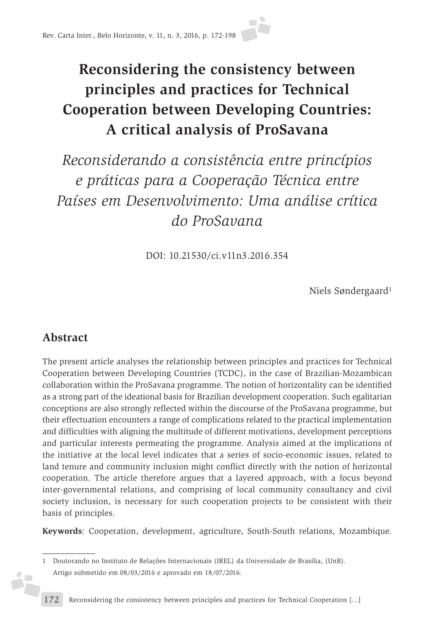# **Reconsidering the consistency between principles and practices for Technical Cooperation between Developing Countries: A critical analysis of ProSavana**

*Reconsiderando a consistência entre princípios e práticas para a Cooperação Técnica entre Países em Desenvolvimento: Uma análise crítica do ProSavana*

DOI: 10.21530/ci.v11n3.2016.354

Niels Søndergaard1

# **Abstract**

żF

The present article analyses the relationship between principles and practices for Technical Cooperation between Developing Countries (TCDC), in the case of Brazilian-Mozambican collaboration within the ProSavana programme. The notion of horizontality can be identified as a strong part of the ideational basis for Brazilian development cooperation. Such egalitarian conceptions are also strongly reflected within the discourse of the ProSavana programme, but their effectuation encounters a range of complications related to the practical implementation and difficulties with aligning the multitude of different motivations, development perceptions and particular interests permeating the programme. Analysis aimed at the implications of the initiative at the local level indicates that a series of socio-economic issues, related to land tenure and community inclusion might conflict directly with the notion of horizontal cooperation. The article therefore argues that a layered approach, with a focus beyond inter-governmental relations, and comprising of local community consultancy and civil society inclusion, is necessary for such cooperation projects to be consistent with their basis of principles.

**Keywords**: Cooperation, development, agriculture, South-South relations, Mozambique.

<sup>1</sup> Doutorando no Instituto de Relações Internacionais (IREL) da Universidade de Brasília, (UnB). Artigo submetido em 08/03/2016 e aprovado em 18/07/2016.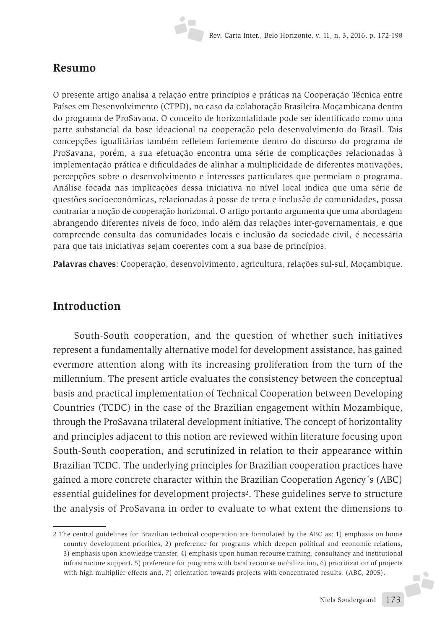#### **Resumo**

O presente artigo analisa a relação entre princípios e práticas na Cooperação Técnica entre Países em Desenvolvimento (CTPD), no caso da colaboração Brasileira-Moçambicana dentro do programa de ProSavana. O conceito de horizontalidade pode ser identificado como uma parte substancial da base ideacional na cooperação pelo desenvolvimento do Brasil. Tais concepções igualitárias também refletem fortemente dentro do discurso do programa de ProSavana, porém, a sua efetuação encontra uma série de complicações relacionadas à implementação prática e dificuldades de alinhar a multiplicidade de diferentes motivações, percepções sobre o desenvolvimento e interesses particulares que permeiam o programa. Análise focada nas implicações dessa iniciativa no nível local indica que uma série de questões socioeconômicas, relacionadas à posse de terra e inclusão de comunidades, possa contrariar a noção de cooperação horizontal. O artigo portanto argumenta que uma abordagem abrangendo diferentes níveis de foco, indo além das relações inter-governamentais, e que compreende consulta das comunidades locais e inclusão da sociedade civil, é necessária para que tais iniciativas sejam coerentes com a sua base de princípios.

**Palavras chaves**: Cooperação, desenvolvimento, agricultura, relações sul-sul, Moçambique.

## **Introduction**

South-South cooperation, and the question of whether such initiatives represent a fundamentally alternative model for development assistance, has gained evermore attention along with its increasing proliferation from the turn of the millennium. The present article evaluates the consistency between the conceptual basis and practical implementation of Technical Cooperation between Developing Countries (TCDC) in the case of the Brazilian engagement within Mozambique, through the ProSavana trilateral development initiative. The concept of horizontality and principles adjacent to this notion are reviewed within literature focusing upon South-South cooperation, and scrutinized in relation to their appearance within Brazilian TCDC. The underlying principles for Brazilian cooperation practices have gained a more concrete character within the Brazilian Cooperation Agency´s (ABC) essential guidelines for development projects2. These guidelines serve to structure the analysis of ProSavana in order to evaluate to what extent the dimensions to

**A** 

<sup>2</sup> The central guidelines for Brazilian technical cooperation are formulated by the ABC as: 1) emphasis on home country development priorities, 2) preference for programs which deepen political and economic relations, 3) emphasis upon knowledge transfer, 4) emphasis upon human recourse training, consultancy and institutional infrastructure support, 5) preference for programs with local recourse mobilization, 6) prioritization of projects with high multiplier effects and, 7) orientation towards projects with concentrated results. (ABC, 2005).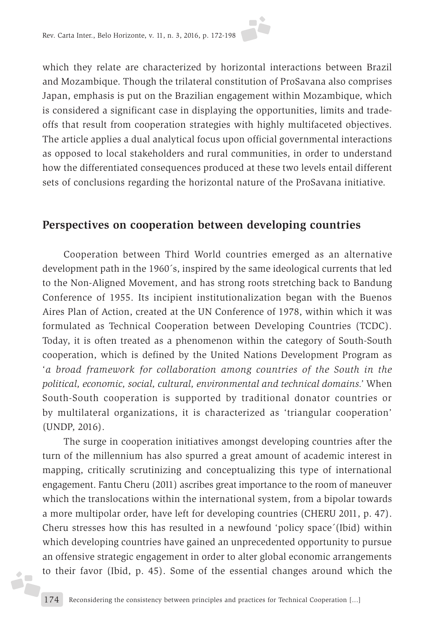which they relate are characterized by horizontal interactions between Brazil and Mozambique. Though the trilateral constitution of ProSavana also comprises Japan, emphasis is put on the Brazilian engagement within Mozambique, which is considered a significant case in displaying the opportunities, limits and tradeoffs that result from cooperation strategies with highly multifaceted objectives. The article applies a dual analytical focus upon official governmental interactions as opposed to local stakeholders and rural communities, in order to understand how the differentiated consequences produced at these two levels entail different sets of conclusions regarding the horizontal nature of the ProSavana initiative.

#### **Perspectives on cooperation between developing countries**

Cooperation between Third World countries emerged as an alternative development path in the 1960´s, inspired by the same ideological currents that led to the Non-Aligned Movement, and has strong roots stretching back to Bandung Conference of 1955. Its incipient institutionalization began with the Buenos Aires Plan of Action, created at the UN Conference of 1978, within which it was formulated as Technical Cooperation between Developing Countries (TCDC). Today, it is often treated as a phenomenon within the category of South-South cooperation, which is defined by the United Nations Development Program as '*a broad framework for collaboration among countries of the South in the political, economic, social, cultural, environmental and technical domains.'* When South-South cooperation is supported by traditional donator countries or by multilateral organizations, it is characterized as 'triangular cooperation' (UNDP, 2016).

The surge in cooperation initiatives amongst developing countries after the turn of the millennium has also spurred a great amount of academic interest in mapping, critically scrutinizing and conceptualizing this type of international engagement. Fantu Cheru (2011) ascribes great importance to the room of maneuver which the translocations within the international system, from a bipolar towards a more multipolar order, have left for developing countries (CHERU 2011, p. 47). Cheru stresses how this has resulted in a newfound 'policy space´(Ibid) within which developing countries have gained an unprecedented opportunity to pursue an offensive strategic engagement in order to alter global economic arrangements to their favor (Ibid, p. 45). Some of the essential changes around which the

á,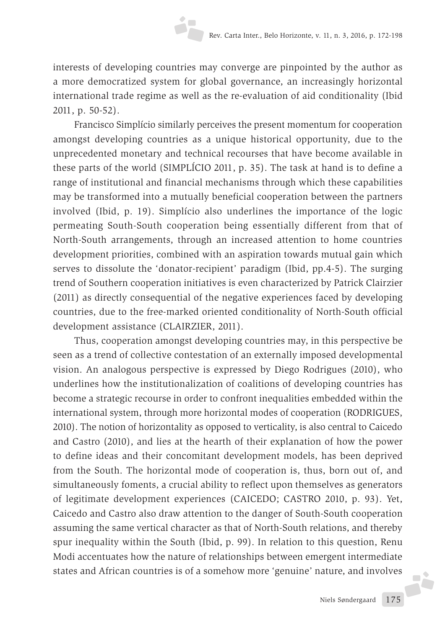interests of developing countries may converge are pinpointed by the author as a more democratized system for global governance, an increasingly horizontal international trade regime as well as the re-evaluation of aid conditionality (Ibid 2011, p. 50-52).

Francisco Simplício similarly perceives the present momentum for cooperation amongst developing countries as a unique historical opportunity, due to the unprecedented monetary and technical recourses that have become available in these parts of the world (SIMPLÍCIO 2011, p. 35). The task at hand is to define a range of institutional and financial mechanisms through which these capabilities may be transformed into a mutually beneficial cooperation between the partners involved (Ibid, p. 19). Simplício also underlines the importance of the logic permeating South-South cooperation being essentially different from that of North-South arrangements, through an increased attention to home countries development priorities, combined with an aspiration towards mutual gain which serves to dissolute the 'donator-recipient' paradigm (Ibid, pp.4-5). The surging trend of Southern cooperation initiatives is even characterized by Patrick Clairzier (2011) as directly consequential of the negative experiences faced by developing countries, due to the free-marked oriented conditionality of North-South official development assistance (CLAIRZIER, 2011).

Thus, cooperation amongst developing countries may, in this perspective be seen as a trend of collective contestation of an externally imposed developmental vision. An analogous perspective is expressed by Diego Rodrigues (2010), who underlines how the institutionalization of coalitions of developing countries has become a strategic recourse in order to confront inequalities embedded within the international system, through more horizontal modes of cooperation (RODRIGUES, 2010). The notion of horizontality as opposed to verticality, is also central to Caicedo and Castro (2010), and lies at the hearth of their explanation of how the power to define ideas and their concomitant development models, has been deprived from the South. The horizontal mode of cooperation is, thus, born out of, and simultaneously foments, a crucial ability to reflect upon themselves as generators of legitimate development experiences (CAICEDO; CASTRO 2010, p. 93). Yet, Caicedo and Castro also draw attention to the danger of South-South cooperation assuming the same vertical character as that of North-South relations, and thereby spur inequality within the South (Ibid, p. 99). In relation to this question, Renu Modi accentuates how the nature of relationships between emergent intermediate states and African countries is of a somehow more 'genuine' nature, and involves

**FČ**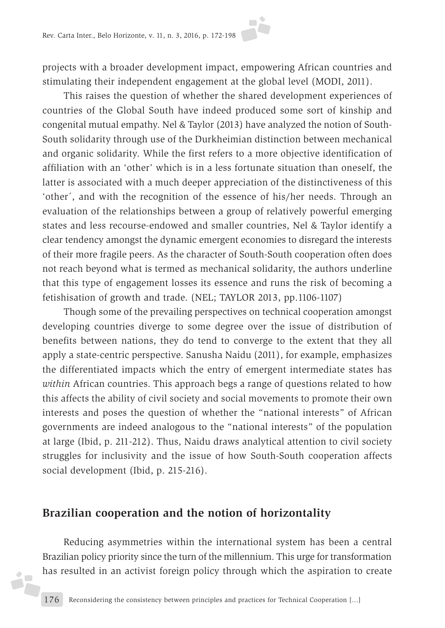projects with a broader development impact, empowering African countries and stimulating their independent engagement at the global level (MODI, 2011).

This raises the question of whether the shared development experiences of countries of the Global South have indeed produced some sort of kinship and congenital mutual empathy. Nel & Taylor (2013) have analyzed the notion of South-South solidarity through use of the Durkheimian distinction between mechanical and organic solidarity. While the first refers to a more objective identification of affiliation with an 'other' which is in a less fortunate situation than oneself, the latter is associated with a much deeper appreciation of the distinctiveness of this 'other´, and with the recognition of the essence of his/her needs. Through an evaluation of the relationships between a group of relatively powerful emerging states and less recourse-endowed and smaller countries, Nel & Taylor identify a clear tendency amongst the dynamic emergent economies to disregard the interests of their more fragile peers. As the character of South-South cooperation often does not reach beyond what is termed as mechanical solidarity, the authors underline that this type of engagement losses its essence and runs the risk of becoming a fetishisation of growth and trade. (NEL; TAYLOR 2013, pp.1106-1107)

Though some of the prevailing perspectives on technical cooperation amongst developing countries diverge to some degree over the issue of distribution of benefits between nations, they do tend to converge to the extent that they all apply a state-centric perspective. Sanusha Naidu (2011), for example, emphasizes the differentiated impacts which the entry of emergent intermediate states has *within* African countries. This approach begs a range of questions related to how this affects the ability of civil society and social movements to promote their own interests and poses the question of whether the "national interests" of African governments are indeed analogous to the "national interests" of the population at large (Ibid, p. 211-212). Thus, Naidu draws analytical attention to civil society struggles for inclusivity and the issue of how South-South cooperation affects social development (Ibid, p. 215-216).

## **Brazilian cooperation and the notion of horizontality**

á,

Reducing asymmetries within the international system has been a central Brazilian policy priority since the turn of the millennium. This urge for transformation has resulted in an activist foreign policy through which the aspiration to create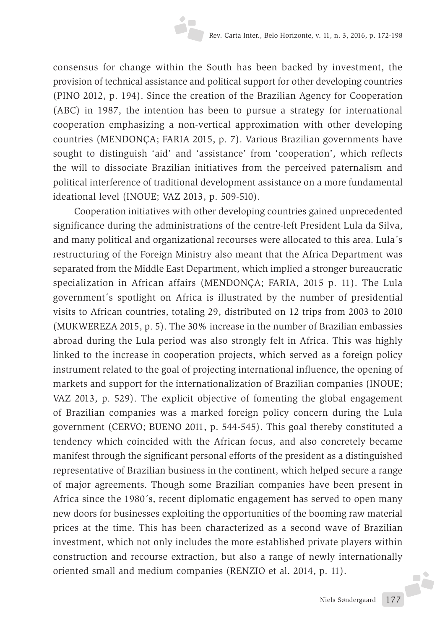consensus for change within the South has been backed by investment, the provision of technical assistance and political support for other developing countries (PINO 2012, p. 194). Since the creation of the Brazilian Agency for Cooperation (ABC) in 1987, the intention has been to pursue a strategy for international cooperation emphasizing a non-vertical approximation with other developing countries (MENDONÇA; FARIA 2015, p. 7). Various Brazilian governments have sought to distinguish 'aid' and 'assistance' from 'cooperation', which reflects the will to dissociate Brazilian initiatives from the perceived paternalism and political interference of traditional development assistance on a more fundamental ideational level (INOUE; VAZ 2013, p. 509-510).

Cooperation initiatives with other developing countries gained unprecedented significance during the administrations of the centre-left President Lula da Silva, and many political and organizational recourses were allocated to this area. Lula´s restructuring of the Foreign Ministry also meant that the Africa Department was separated from the Middle East Department, which implied a stronger bureaucratic specialization in African affairs (MENDONÇA; FARIA, 2015 p. 11). The Lula government´s spotlight on Africa is illustrated by the number of presidential visits to African countries, totaling 29, distributed on 12 trips from 2003 to 2010 (MUKWEREZA 2015, p. 5). The 30% increase in the number of Brazilian embassies abroad during the Lula period was also strongly felt in Africa. This was highly linked to the increase in cooperation projects, which served as a foreign policy instrument related to the goal of projecting international influence, the opening of markets and support for the internationalization of Brazilian companies (INOUE; VAZ 2013, p. 529). The explicit objective of fomenting the global engagement of Brazilian companies was a marked foreign policy concern during the Lula government (CERVO; BUENO 2011, p. 544-545). This goal thereby constituted a tendency which coincided with the African focus, and also concretely became manifest through the significant personal efforts of the president as a distinguished representative of Brazilian business in the continent, which helped secure a range of major agreements. Though some Brazilian companies have been present in Africa since the 1980´s, recent diplomatic engagement has served to open many new doors for businesses exploiting the opportunities of the booming raw material prices at the time. This has been characterized as a second wave of Brazilian investment, which not only includes the more established private players within construction and recourse extraction, but also a range of newly internationally oriented small and medium companies (RENZIO et al. 2014, p. 11).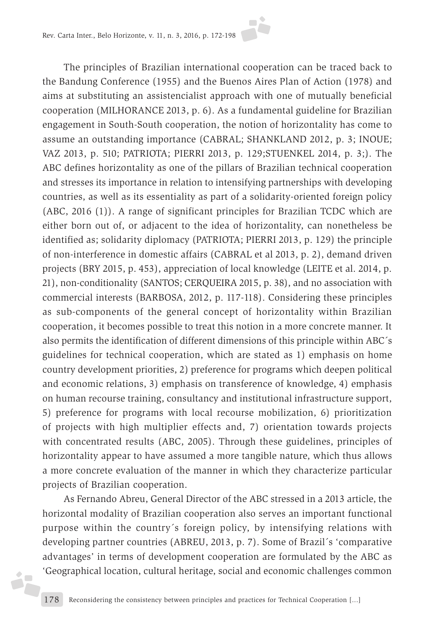

The principles of Brazilian international cooperation can be traced back to the Bandung Conference (1955) and the Buenos Aires Plan of Action (1978) and aims at substituting an assistencialist approach with one of mutually beneficial cooperation (MILHORANCE 2013, p. 6). As a fundamental guideline for Brazilian engagement in South-South cooperation, the notion of horizontality has come to assume an outstanding importance (CABRAL; SHANKLAND 2012, p. 3; INOUE; VAZ 2013, p. 510; PATRIOTA; PIERRI 2013, p. 129;STUENKEL 2014, p. 3;). The ABC defines horizontality as one of the pillars of Brazilian technical cooperation and stresses its importance in relation to intensifying partnerships with developing countries, as well as its essentiality as part of a solidarity-oriented foreign policy (ABC, 2016 (1)). A range of significant principles for Brazilian TCDC which are either born out of, or adjacent to the idea of horizontality, can nonetheless be identified as; solidarity diplomacy (PATRIOTA; PIERRI 2013, p. 129) the principle of non-interference in domestic affairs (CABRAL et al 2013, p. 2), demand driven projects (BRY 2015, p. 453), appreciation of local knowledge (LEITE et al. 2014, p. 21), non-conditionality (SANTOS; CERQUEIRA 2015, p. 38), and no association with commercial interests (BARBOSA, 2012, p. 117-118). Considering these principles as sub-components of the general concept of horizontality within Brazilian cooperation, it becomes possible to treat this notion in a more concrete manner. It also permits the identification of different dimensions of this principle within ABC´s guidelines for technical cooperation, which are stated as 1) emphasis on home country development priorities, 2) preference for programs which deepen political and economic relations, 3) emphasis on transference of knowledge, 4) emphasis on human recourse training, consultancy and institutional infrastructure support, 5) preference for programs with local recourse mobilization, 6) prioritization of projects with high multiplier effects and, 7) orientation towards projects with concentrated results (ABC, 2005). Through these guidelines, principles of horizontality appear to have assumed a more tangible nature, which thus allows a more concrete evaluation of the manner in which they characterize particular projects of Brazilian cooperation.

As Fernando Abreu, General Director of the ABC stressed in a 2013 article, the horizontal modality of Brazilian cooperation also serves an important functional purpose within the country´s foreign policy, by intensifying relations with developing partner countries (ABREU, 2013, p. 7). Some of Brazil´s 'comparative advantages' in terms of development cooperation are formulated by the ABC as 'Geographical location, cultural heritage, social and economic challenges common

áF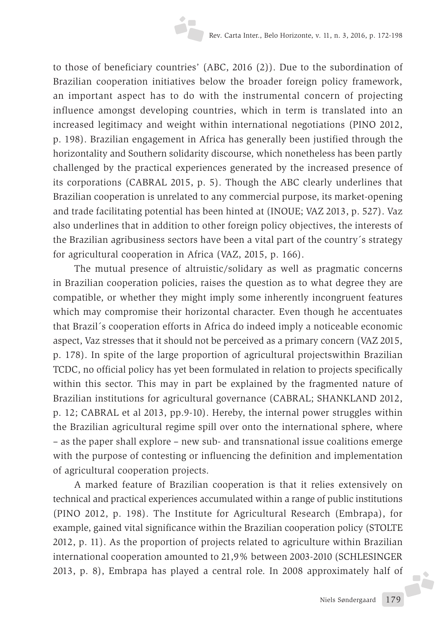to those of beneficiary countries' (ABC, 2016 (2)). Due to the subordination of Brazilian cooperation initiatives below the broader foreign policy framework, an important aspect has to do with the instrumental concern of projecting influence amongst developing countries, which in term is translated into an increased legitimacy and weight within international negotiations (PINO 2012, p. 198). Brazilian engagement in Africa has generally been justified through the horizontality and Southern solidarity discourse, which nonetheless has been partly challenged by the practical experiences generated by the increased presence of its corporations (CABRAL 2015, p. 5). Though the ABC clearly underlines that Brazilian cooperation is unrelated to any commercial purpose, its market-opening and trade facilitating potential has been hinted at (INOUE; VAZ 2013, p. 527). Vaz also underlines that in addition to other foreign policy objectives, the interests of the Brazilian agribusiness sectors have been a vital part of the country´s strategy for agricultural cooperation in Africa (VAZ, 2015, p. 166).

The mutual presence of altruistic/solidary as well as pragmatic concerns in Brazilian cooperation policies, raises the question as to what degree they are compatible, or whether they might imply some inherently incongruent features which may compromise their horizontal character. Even though he accentuates that Brazil´s cooperation efforts in Africa do indeed imply a noticeable economic aspect, Vaz stresses that it should not be perceived as a primary concern (VAZ 2015, p. 178). In spite of the large proportion of agricultural projectswithin Brazilian TCDC, no official policy has yet been formulated in relation to projects specifically within this sector. This may in part be explained by the fragmented nature of Brazilian institutions for agricultural governance (CABRAL; SHANKLAND 2012, p. 12; CABRAL et al 2013, pp.9-10). Hereby, the internal power struggles within the Brazilian agricultural regime spill over onto the international sphere, where – as the paper shall explore – new sub- and transnational issue coalitions emerge with the purpose of contesting or influencing the definition and implementation of agricultural cooperation projects.

A marked feature of Brazilian cooperation is that it relies extensively on technical and practical experiences accumulated within a range of public institutions (PINO 2012, p. 198). The Institute for Agricultural Research (Embrapa), for example, gained vital significance within the Brazilian cooperation policy (STOLTE 2012, p. 11). As the proportion of projects related to agriculture within Brazilian international cooperation amounted to 21,9% between 2003-2010 (SCHLESINGER 2013, p. 8), Embrapa has played a central role. In 2008 approximately half of

**F**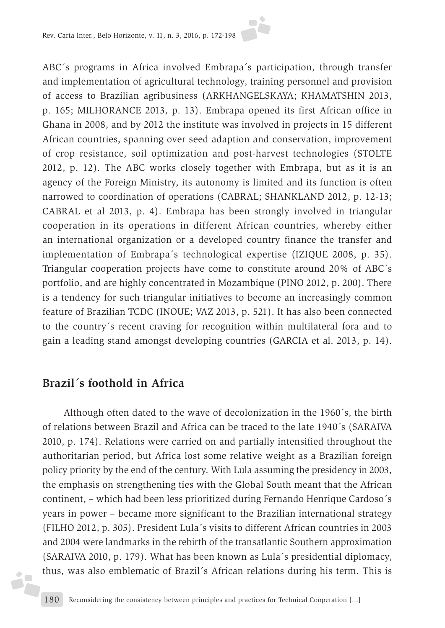ABC´s programs in Africa involved Embrapa´s participation, through transfer and implementation of agricultural technology, training personnel and provision of access to Brazilian agribusiness (ARKHANGELSKAYA; KHAMATSHIN 2013, p. 165; MILHORANCE 2013, p. 13). Embrapa opened its first African office in Ghana in 2008, and by 2012 the institute was involved in projects in 15 different African countries, spanning over seed adaption and conservation, improvement of crop resistance, soil optimization and post-harvest technologies (STOLTE 2012, p. 12). The ABC works closely together with Embrapa, but as it is an agency of the Foreign Ministry, its autonomy is limited and its function is often narrowed to coordination of operations (CABRAL; SHANKLAND 2012, p. 12-13; CABRAL et al 2013, p. 4). Embrapa has been strongly involved in triangular cooperation in its operations in different African countries, whereby either an international organization or a developed country finance the transfer and implementation of Embrapa´s technological expertise (IZIQUE 2008, p. 35). Triangular cooperation projects have come to constitute around 20% of ABC´s portfolio, and are highly concentrated in Mozambique (PINO 2012, p. 200). There is a tendency for such triangular initiatives to become an increasingly common feature of Brazilian TCDC (INOUE; VAZ 2013, p. 521). It has also been connected to the country´s recent craving for recognition within multilateral fora and to gain a leading stand amongst developing countries (GARCIA et al. 2013, p. 14).

## **Brazil´s foothold in Africa**

á,

Although often dated to the wave of decolonization in the 1960´s, the birth of relations between Brazil and Africa can be traced to the late 1940´s (SARAIVA 2010, p. 174). Relations were carried on and partially intensified throughout the authoritarian period, but Africa lost some relative weight as a Brazilian foreign policy priority by the end of the century. With Lula assuming the presidency in 2003, the emphasis on strengthening ties with the Global South meant that the African continent, – which had been less prioritized during Fernando Henrique Cardoso´s years in power – became more significant to the Brazilian international strategy (FILHO 2012, p. 305). President Lula´s visits to different African countries in 2003 and 2004 were landmarks in the rebirth of the transatlantic Southern approximation (SARAIVA 2010, p. 179). What has been known as Lula´s presidential diplomacy, thus, was also emblematic of Brazil´s African relations during his term. This is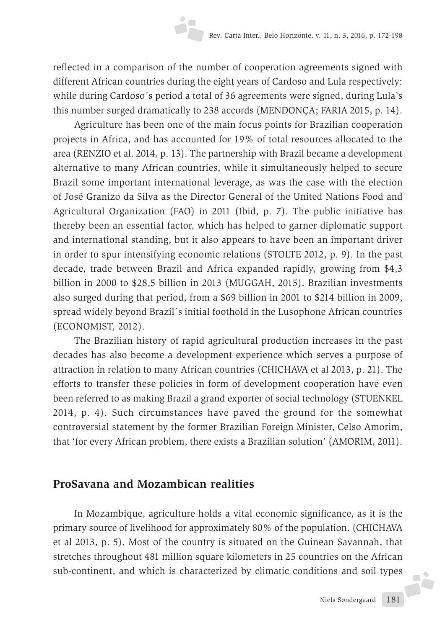reflected in a comparison of the number of cooperation agreements signed with different African countries during the eight years of Cardoso and Lula respectively: while during Cardoso´s period a total of 36 agreements were signed, during Lula's this number surged dramatically to 238 accords (MENDONÇA; FARIA 2015, p. 14).

Agriculture has been one of the main focus points for Brazilian cooperation projects in Africa, and has accounted for 19% of total resources allocated to the area (RENZIO et al. 2014, p. 13). The partnership with Brazil became a development alternative to many African countries, while it simultaneously helped to secure Brazil some important international leverage, as was the case with the election of José Granizo da Silva as the Director General of the United Nations Food and Agricultural Organization (FAO) in 2011 (Ibid, p. 7). The public initiative has thereby been an essential factor, which has helped to garner diplomatic support and international standing, but it also appears to have been an important driver in order to spur intensifying economic relations (STOLTE 2012, p. 9). In the past decade, trade between Brazil and Africa expanded rapidly, growing from \$4,3 billion in 2000 to \$28,5 billion in 2013 (MUGGAH, 2015). Brazilian investments also surged during that period, from a \$69 billion in 2001 to \$214 billion in 2009, spread widely beyond Brazil´s initial foothold in the Lusophone African countries (ECONOMIST, 2012).

The Brazilian history of rapid agricultural production increases in the past decades has also become a development experience which serves a purpose of attraction in relation to many African countries (CHICHAVA et al 2013, p. 21). The efforts to transfer these policies in form of development cooperation have even been referred to as making Brazil a grand exporter of social technology (STUENKEL 2014, p. 4). Such circumstances have paved the ground for the somewhat controversial statement by the former Brazilian Foreign Minister, Celso Amorim, that 'for every African problem, there exists a Brazilian solution' (AMORIM, 2011).

## **ProSavana and Mozambican realities**

In Mozambique, agriculture holds a vital economic significance, as it is the primary source of livelihood for approximately 80% of the population. (CHICHAVA et al 2013, p. 5). Most of the country is situated on the Guinean Savannah, that stretches throughout 481 million square kilometers in 25 countries on the African sub-continent, and which is characterized by climatic conditions and soil types

**F**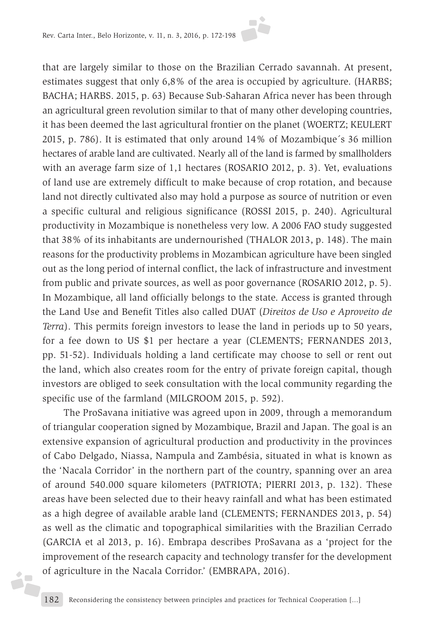

that are largely similar to those on the Brazilian Cerrado savannah. At present, estimates suggest that only 6,8% of the area is occupied by agriculture. (HARBS; BACHA; HARBS. 2015, p. 63) Because Sub-Saharan Africa never has been through an agricultural green revolution similar to that of many other developing countries, it has been deemed the last agricultural frontier on the planet (WOERTZ; KEULERT 2015, p. 786). It is estimated that only around 14% of Mozambique´s 36 million hectares of arable land are cultivated. Nearly all of the land is farmed by smallholders with an average farm size of 1,1 hectares (ROSARIO 2012, p. 3). Yet, evaluations of land use are extremely difficult to make because of crop rotation, and because land not directly cultivated also may hold a purpose as source of nutrition or even a specific cultural and religious significance (ROSSI 2015, p. 240). Agricultural productivity in Mozambique is nonetheless very low. A 2006 FAO study suggested that 38% of its inhabitants are undernourished (THALOR 2013, p. 148). The main reasons for the productivity problems in Mozambican agriculture have been singled out as the long period of internal conflict, the lack of infrastructure and investment from public and private sources, as well as poor governance (ROSARIO 2012, p. 5). In Mozambique, all land officially belongs to the state. Access is granted through the Land Use and Benefit Titles also called DUAT (*Direitos de Uso e Aproveito de Terra*). This permits foreign investors to lease the land in periods up to 50 years, for a fee down to US \$1 per hectare a year (CLEMENTS; FERNANDES 2013, pp. 51-52). Individuals holding a land certificate may choose to sell or rent out the land, which also creates room for the entry of private foreign capital, though investors are obliged to seek consultation with the local community regarding the specific use of the farmland (MILGROOM 2015, p. 592).

The ProSavana initiative was agreed upon in 2009, through a memorandum of triangular cooperation signed by Mozambique, Brazil and Japan. The goal is an extensive expansion of agricultural production and productivity in the provinces of Cabo Delgado, Niassa, Nampula and Zambésia, situated in what is known as the 'Nacala Corridor' in the northern part of the country, spanning over an area of around 540.000 square kilometers (PATRIOTA; PIERRI 2013, p. 132). These areas have been selected due to their heavy rainfall and what has been estimated as a high degree of available arable land (CLEMENTS; FERNANDES 2013, p. 54) as well as the climatic and topographical similarities with the Brazilian Cerrado (GARCIA et al 2013, p. 16). Embrapa describes ProSavana as a 'project for the improvement of the research capacity and technology transfer for the development of agriculture in the Nacala Corridor.' (EMBRAPA, 2016).

 $\blacklozenge$ ó,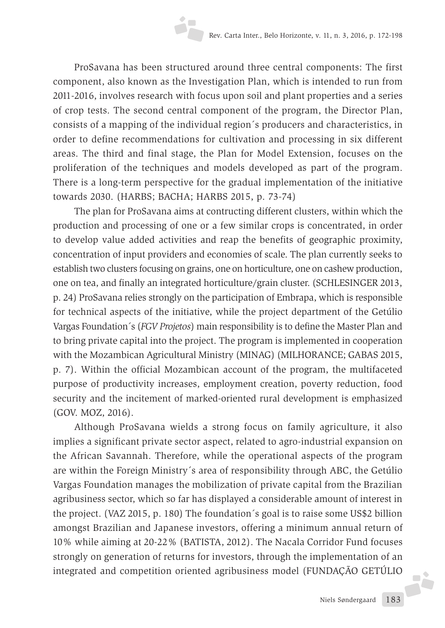ProSavana has been structured around three central components: The first component, also known as the Investigation Plan, which is intended to run from 2011-2016, involves research with focus upon soil and plant properties and a series of crop tests. The second central component of the program, the Director Plan, consists of a mapping of the individual region´s producers and characteristics, in order to define recommendations for cultivation and processing in six different areas. The third and final stage, the Plan for Model Extension, focuses on the proliferation of the techniques and models developed as part of the program. There is a long-term perspective for the gradual implementation of the initiative towards 2030. (HARBS; BACHA; HARBS 2015, p. 73-74)

The plan for ProSavana aims at contructing different clusters, within which the production and processing of one or a few similar crops is concentrated, in order to develop value added activities and reap the benefits of geographic proximity, concentration of input providers and economies of scale. The plan currently seeks to establish two clusters focusing on grains, one on horticulture, one on cashew production, one on tea, and finally an integrated horticulture/grain cluster. (SCHLESINGER 2013, p. 24) ProSavana relies strongly on the participation of Embrapa, which is responsible for technical aspects of the initiative, while the project department of the Getúlio Vargas Foundation´s (*FGV Projetos*) main responsibility is to define the Master Plan and to bring private capital into the project. The program is implemented in cooperation with the Mozambican Agricultural Ministry (MINAG) (MILHORANCE; GABAS 2015, p. 7). Within the official Mozambican account of the program, the multifaceted purpose of productivity increases, employment creation, poverty reduction, food security and the incitement of marked-oriented rural development is emphasized (GOV. MOZ, 2016).

Although ProSavana wields a strong focus on family agriculture, it also implies a significant private sector aspect, related to agro-industrial expansion on the African Savannah. Therefore, while the operational aspects of the program are within the Foreign Ministry´s area of responsibility through ABC, the Getúlio Vargas Foundation manages the mobilization of private capital from the Brazilian agribusiness sector, which so far has displayed a considerable amount of interest in the project. (VAZ 2015, p. 180) The foundation´s goal is to raise some US\$2 billion amongst Brazilian and Japanese investors, offering a minimum annual return of 10% while aiming at 20-22% (BATISTA, 2012). The Nacala Corridor Fund focuses strongly on generation of returns for investors, through the implementation of an integrated and competition oriented agribusiness model (FUNDAÇÃO GETÚLIO

**F**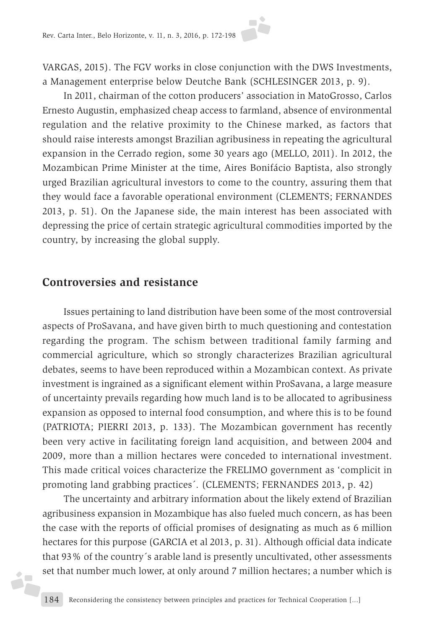VARGAS, 2015). The FGV works in close conjunction with the DWS Investments, a Management enterprise below Deutche Bank (SCHLESINGER 2013, p. 9).

In 2011, chairman of the cotton producers' association in MatoGrosso, Carlos Ernesto Augustin, emphasized cheap access to farmland, absence of environmental regulation and the relative proximity to the Chinese marked, as factors that should raise interests amongst Brazilian agribusiness in repeating the agricultural expansion in the Cerrado region, some 30 years ago (MELLO, 2011). In 2012, the Mozambican Prime Minister at the time, Aires Bonifácio Baptista, also strongly urged Brazilian agricultural investors to come to the country, assuring them that they would face a favorable operational environment (CLEMENTS; FERNANDES 2013, p. 51). On the Japanese side, the main interest has been associated with depressing the price of certain strategic agricultural commodities imported by the country, by increasing the global supply.

#### **Controversies and resistance**

 $\blacklozenge$ ó,

Issues pertaining to land distribution have been some of the most controversial aspects of ProSavana, and have given birth to much questioning and contestation regarding the program. The schism between traditional family farming and commercial agriculture, which so strongly characterizes Brazilian agricultural debates, seems to have been reproduced within a Mozambican context. As private investment is ingrained as a significant element within ProSavana, a large measure of uncertainty prevails regarding how much land is to be allocated to agribusiness expansion as opposed to internal food consumption, and where this is to be found (PATRIOTA; PIERRI 2013, p. 133). The Mozambican government has recently been very active in facilitating foreign land acquisition, and between 2004 and 2009, more than a million hectares were conceded to international investment. This made critical voices characterize the FRELIMO government as 'complicit in promoting land grabbing practices´. (CLEMENTS; FERNANDES 2013, p. 42)

The uncertainty and arbitrary information about the likely extend of Brazilian agribusiness expansion in Mozambique has also fueled much concern, as has been the case with the reports of official promises of designating as much as 6 million hectares for this purpose (GARCIA et al 2013, p. 31). Although official data indicate that 93% of the country´s arable land is presently uncultivated, other assessments set that number much lower, at only around 7 million hectares; a number which is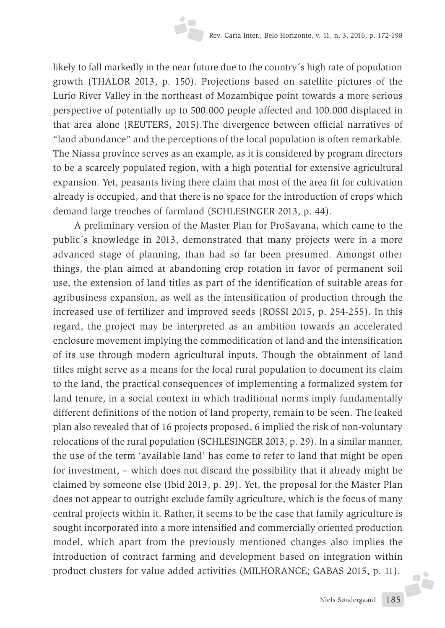likely to fall markedly in the near future due to the country´s high rate of population growth (THALOR 2013, p. 150). Projections based on satellite pictures of the Lurio River Valley in the northeast of Mozambique point towards a more serious perspective of potentially up to 500.000 people affected and 100.000 displaced in that area alone (REUTERS, 2015).The divergence between official narratives of "land abundance" and the perceptions of the local population is often remarkable. The Niassa province serves as an example, as it is considered by program directors to be a scarcely populated region, with a high potential for extensive agricultural expansion. Yet, peasants living there claim that most of the area fit for cultivation already is occupied, and that there is no space for the introduction of crops which demand large trenches of farmland (SCHLESINGER 2013, p. 44).

A preliminary version of the Master Plan for ProSavana, which came to the public´s knowledge in 2013, demonstrated that many projects were in a more advanced stage of planning, than had so far been presumed. Amongst other things, the plan aimed at abandoning crop rotation in favor of permanent soil use, the extension of land titles as part of the identification of suitable areas for agribusiness expansion, as well as the intensification of production through the increased use of fertilizer and improved seeds (ROSSI 2015, p. 254-255). In this regard, the project may be interpreted as an ambition towards an accelerated enclosure movement implying the commodification of land and the intensification of its use through modern agricultural inputs. Though the obtainment of land titles might serve as a means for the local rural population to document its claim to the land, the practical consequences of implementing a formalized system for land tenure, in a social context in which traditional norms imply fundamentally different definitions of the notion of land property, remain to be seen. The leaked plan also revealed that of 16 projects proposed, 6 implied the risk of non-voluntary relocations of the rural population (SCHLESINGER 2013, p. 29). In a similar manner, the use of the term 'available land' has come to refer to land that might be open for investment, – which does not discard the possibility that it already might be claimed by someone else (Ibid 2013, p. 29). Yet, the proposal for the Master Plan does not appear to outright exclude family agriculture, which is the focus of many central projects within it. Rather, it seems to be the case that family agriculture is sought incorporated into a more intensified and commercially oriented production model, which apart from the previously mentioned changes also implies the introduction of contract farming and development based on integration within product clusters for value added activities (MILHORANCE; GABAS 2015, p. 11). F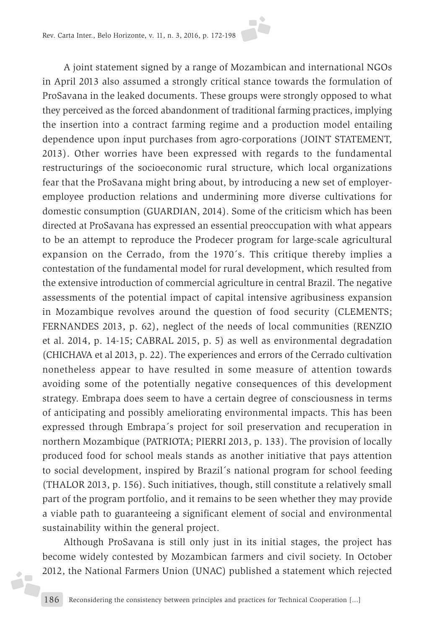

A joint statement signed by a range of Mozambican and international NGOs in April 2013 also assumed a strongly critical stance towards the formulation of ProSavana in the leaked documents. These groups were strongly opposed to what they perceived as the forced abandonment of traditional farming practices, implying the insertion into a contract farming regime and a production model entailing dependence upon input purchases from agro-corporations (JOINT STATEMENT, 2013). Other worries have been expressed with regards to the fundamental restructurings of the socioeconomic rural structure, which local organizations fear that the ProSavana might bring about, by introducing a new set of employeremployee production relations and undermining more diverse cultivations for domestic consumption (GUARDIAN, 2014). Some of the criticism which has been directed at ProSavana has expressed an essential preoccupation with what appears to be an attempt to reproduce the Prodecer program for large-scale agricultural expansion on the Cerrado, from the 1970´s. This critique thereby implies a contestation of the fundamental model for rural development, which resulted from the extensive introduction of commercial agriculture in central Brazil. The negative assessments of the potential impact of capital intensive agribusiness expansion in Mozambique revolves around the question of food security (CLEMENTS; FERNANDES 2013, p. 62), neglect of the needs of local communities (RENZIO et al. 2014, p. 14-15; CABRAL 2015, p. 5) as well as environmental degradation (CHICHAVA et al 2013, p. 22). The experiences and errors of the Cerrado cultivation nonetheless appear to have resulted in some measure of attention towards avoiding some of the potentially negative consequences of this development strategy. Embrapa does seem to have a certain degree of consciousness in terms of anticipating and possibly ameliorating environmental impacts. This has been expressed through Embrapa´s project for soil preservation and recuperation in northern Mozambique (PATRIOTA; PIERRI 2013, p. 133). The provision of locally produced food for school meals stands as another initiative that pays attention to social development, inspired by Brazil´s national program for school feeding (THALOR 2013, p. 156). Such initiatives, though, still constitute a relatively small part of the program portfolio, and it remains to be seen whether they may provide a viable path to guaranteeing a significant element of social and environmental sustainability within the general project.

Although ProSavana is still only just in its initial stages, the project has become widely contested by Mozambican farmers and civil society. In October 2012, the National Farmers Union (UNAC) published a statement which rejected

óF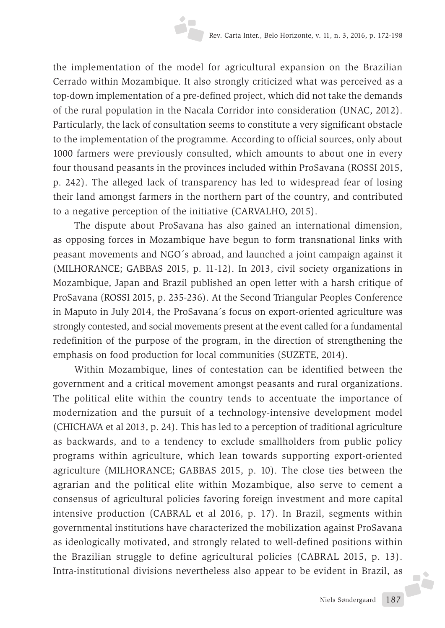the implementation of the model for agricultural expansion on the Brazilian Cerrado within Mozambique. It also strongly criticized what was perceived as a top-down implementation of a pre-defined project, which did not take the demands of the rural population in the Nacala Corridor into consideration (UNAC, 2012). Particularly, the lack of consultation seems to constitute a very significant obstacle to the implementation of the programme. According to official sources, only about 1000 farmers were previously consulted, which amounts to about one in every four thousand peasants in the provinces included within ProSavana (ROSSI 2015, p. 242). The alleged lack of transparency has led to widespread fear of losing their land amongst farmers in the northern part of the country, and contributed to a negative perception of the initiative (CARVALHO, 2015).

The dispute about ProSavana has also gained an international dimension, as opposing forces in Mozambique have begun to form transnational links with peasant movements and NGO´s abroad, and launched a joint campaign against it (MILHORANCE; GABBAS 2015, p. 11-12). In 2013, civil society organizations in Mozambique, Japan and Brazil published an open letter with a harsh critique of ProSavana (ROSSI 2015, p. 235-236). At the Second Triangular Peoples Conference in Maputo in July 2014, the ProSavana´s focus on export-oriented agriculture was strongly contested, and social movements present at the event called for a fundamental redefinition of the purpose of the program, in the direction of strengthening the emphasis on food production for local communities (SUZETE, 2014).

Within Mozambique, lines of contestation can be identified between the government and a critical movement amongst peasants and rural organizations. The political elite within the country tends to accentuate the importance of modernization and the pursuit of a technology-intensive development model (CHICHAVA et al 2013, p. 24). This has led to a perception of traditional agriculture as backwards, and to a tendency to exclude smallholders from public policy programs within agriculture, which lean towards supporting export-oriented agriculture (MILHORANCE; GABBAS 2015, p. 10). The close ties between the agrarian and the political elite within Mozambique, also serve to cement a consensus of agricultural policies favoring foreign investment and more capital intensive production (CABRAL et al 2016, p. 17). In Brazil, segments within governmental institutions have characterized the mobilization against ProSavana as ideologically motivated, and strongly related to well-defined positions within the Brazilian struggle to define agricultural policies (CABRAL 2015, p. 13). Intra-institutional divisions nevertheless also appear to be evident in Brazil, as

**F**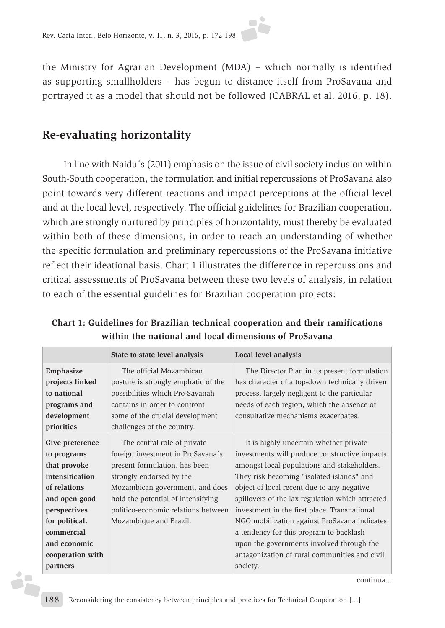

the Ministry for Agrarian Development (MDA) – which normally is identified as supporting smallholders – has begun to distance itself from ProSavana and portrayed it as a model that should not be followed (CABRAL et al. 2016, p. 18).

## **Re-evaluating horizontality**

In line with Naidu´s (2011) emphasis on the issue of civil society inclusion within South-South cooperation, the formulation and initial repercussions of ProSavana also point towards very different reactions and impact perceptions at the official level and at the local level, respectively. The official guidelines for Brazilian cooperation, which are strongly nurtured by principles of horizontality, must thereby be evaluated within both of these dimensions, in order to reach an understanding of whether the specific formulation and preliminary repercussions of the ProSavana initiative reflect their ideational basis. Chart 1 illustrates the difference in repercussions and critical assessments of ProSavana between these two levels of analysis, in relation to each of the essential guidelines for Brazilian cooperation projects:

|                  | State-to-state level analysis       | Local level analysis                             |
|------------------|-------------------------------------|--------------------------------------------------|
| Emphasize        | The official Mozambican             | The Director Plan in its present formulation     |
| projects linked  | posture is strongly emphatic of the | has character of a top-down technically driven   |
| to national      | possibilities which Pro-Savanah     | process, largely negligent to the particular     |
| programs and     | contains in order to confront       | needs of each region, which the absence of       |
| development      | some of the crucial development     | consultative mechanisms exacerbates.             |
| priorities       | challenges of the country.          |                                                  |
| Give preference  | The central role of private         | It is highly uncertain whether private           |
| to programs      | foreign investment in ProSavana's   | investments will produce constructive impacts    |
| that provoke     | present formulation, has been       | amongst local populations and stakeholders.      |
| intensification  | strongly endorsed by the            | They risk becoming "isolated islands" and        |
| of relations     | Mozambican government, and does     | object of local recent due to any negative       |
| and open good    | hold the potential of intensifying  | spillovers of the lax regulation which attracted |
| perspectives     | politico-economic relations between | investment in the first place. Transnational     |
| for political.   | Mozambique and Brazil.              | NGO mobilization against ProSavana indicates     |
| commercial       |                                     | a tendency for this program to backlash          |
| and economic     |                                     | upon the governments involved through the        |
| cooperation with |                                     | antagonization of rural communities and civil    |
| partners         |                                     | society.                                         |
|                  |                                     | continua                                         |

**Chart 1: Guidelines for Brazilian technical cooperation and their ramifications within the national and local dimensions of ProSavana**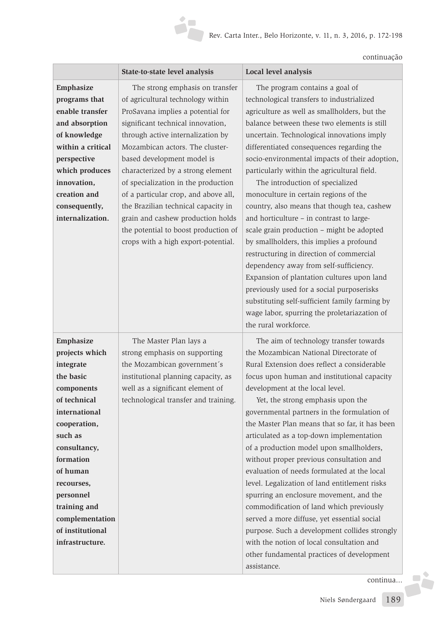continuação

|                                                                                                                                                                                                                                                                               | State-to-state level analysis                                                                                                                                                                                                                                                                                                                                                                                                                                                                                                       | Local level analysis                                                                                                                                                                                                                                                                                                                                                                                                                                                                                                                                                                                                                                                                                                                                                                                                                                                                                                                              |
|-------------------------------------------------------------------------------------------------------------------------------------------------------------------------------------------------------------------------------------------------------------------------------|-------------------------------------------------------------------------------------------------------------------------------------------------------------------------------------------------------------------------------------------------------------------------------------------------------------------------------------------------------------------------------------------------------------------------------------------------------------------------------------------------------------------------------------|---------------------------------------------------------------------------------------------------------------------------------------------------------------------------------------------------------------------------------------------------------------------------------------------------------------------------------------------------------------------------------------------------------------------------------------------------------------------------------------------------------------------------------------------------------------------------------------------------------------------------------------------------------------------------------------------------------------------------------------------------------------------------------------------------------------------------------------------------------------------------------------------------------------------------------------------------|
| Emphasize<br>programs that<br>enable transfer<br>and absorption<br>of knowledge<br>within a critical<br>perspective<br>which produces<br>innovation,<br>creation and<br>consequently,<br>internalization.                                                                     | The strong emphasis on transfer<br>of agricultural technology within<br>ProSavana implies a potential for<br>significant technical innovation,<br>through active internalization by<br>Mozambican actors. The cluster-<br>based development model is<br>characterized by a strong element<br>of specialization in the production<br>of a particular crop, and above all,<br>the Brazilian technical capacity in<br>grain and cashew production holds<br>the potential to boost production of<br>crops with a high export-potential. | The program contains a goal of<br>technological transfers to industrialized<br>agriculture as well as smallholders, but the<br>balance between these two elements is still<br>uncertain. Technological innovations imply<br>differentiated consequences regarding the<br>socio-environmental impacts of their adoption,<br>particularly within the agricultural field.<br>The introduction of specialized<br>monoculture in certain regions of the<br>country, also means that though tea, cashew<br>and horticulture - in contrast to large-<br>scale grain production - might be adopted<br>by smallholders, this implies a profound<br>restructuring in direction of commercial<br>dependency away from self-sufficiency.<br>Expansion of plantation cultures upon land<br>previously used for a social purposerisks<br>substituting self-sufficient family farming by<br>wage labor, spurring the proletariazation of<br>the rural workforce. |
| Emphasize<br>projects which<br>integrate<br>the basic<br>components<br>of technical<br>international<br>cooperation,<br>such as<br>consultancy,<br>formation<br>of human<br>recourses,<br>personnel<br>training and<br>complementation<br>of institutional<br>infrastructure. | The Master Plan lays a<br>strong emphasis on supporting<br>the Mozambican government's<br>institutional planning capacity, as<br>well as a significant element of<br>technological transfer and training.                                                                                                                                                                                                                                                                                                                           | The aim of technology transfer towards<br>the Mozambican National Directorate of<br>Rural Extension does reflect a considerable<br>focus upon human and institutional capacity<br>development at the local level.<br>Yet, the strong emphasis upon the<br>governmental partners in the formulation of<br>the Master Plan means that so far, it has been<br>articulated as a top-down implementation<br>of a production model upon smallholders,<br>without proper previous consultation and<br>evaluation of needs formulated at the local<br>level. Legalization of land entitlement risks<br>spurring an enclosure movement, and the<br>commodification of land which previously<br>served a more diffuse, yet essential social<br>purpose. Such a development collides strongly<br>with the notion of local consultation and<br>other fundamental practices of development<br>assistance.                                                      |

continua...

Fè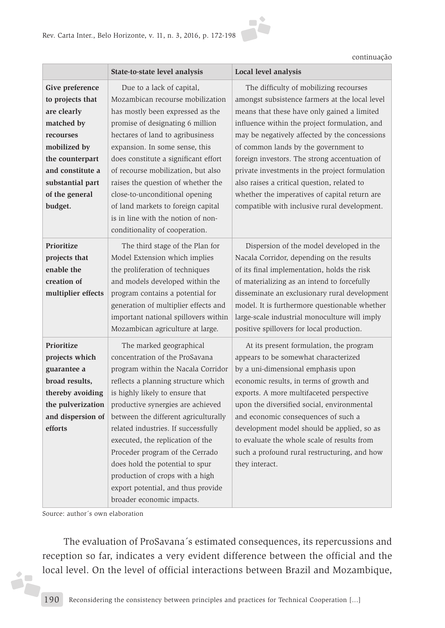

continuação

|                    | State-to-state level analysis        | Local level analysis                           |
|--------------------|--------------------------------------|------------------------------------------------|
| Give preference    | Due to a lack of capital,            | The difficulty of mobilizing recourses         |
| to projects that   | Mozambican recourse mobilization     | amongst subsistence farmers at the local level |
| are clearly        | has mostly been expressed as the     | means that these have only gained a limited    |
| matched by         | promise of designating 6 million     | influence within the project formulation, and  |
| recourses          | hectares of land to agribusiness     | may be negatively affected by the concessions  |
| mobilized by       | expansion. In some sense, this       | of common lands by the government to           |
| the counterpart    | does constitute a significant effort | foreign investors. The strong accentuation of  |
| and constitute a   | of recourse mobilization, but also   | private investments in the project formulation |
| substantial part   | raises the question of whether the   | also raises a critical question, related to    |
| of the general     | close-to-unconditional opening       | whether the imperatives of capital return are  |
| budget.            | of land markets to foreign capital   | compatible with inclusive rural development.   |
|                    | is in line with the notion of non-   |                                                |
|                    | conditionality of cooperation.       |                                                |
| Prioritize         | The third stage of the Plan for      | Dispersion of the model developed in the       |
| projects that      | Model Extension which implies        | Nacala Corridor, depending on the results      |
| enable the         | the proliferation of techniques      | of its final implementation, holds the risk    |
| creation of        | and models developed within the      | of materializing as an intend to forcefully    |
| multiplier effects | program contains a potential for     | disseminate an exclusionary rural development  |
|                    | generation of multiplier effects and | model. It is furthermore questionable whether  |
|                    | important national spillovers within | large-scale industrial monoculture will imply  |
|                    | Mozambican agriculture at large.     | positive spillovers for local production.      |
| Prioritize         | The marked geographical              | At its present formulation, the program        |
| projects which     | concentration of the ProSavana       | appears to be somewhat characterized           |
| guarantee a        | program within the Nacala Corridor   | by a uni-dimensional emphasis upon             |
| broad results,     | reflects a planning structure which  | economic results, in terms of growth and       |
| thereby avoiding   | is highly likely to ensure that      | exports. A more multifaceted perspective       |
| the pulverization  | productive synergies are achieved    | upon the diversified social, environmental     |
| and dispersion of  | between the different agriculturally | and economic consequences of such a            |
| efforts            | related industries. If successfully  | development model should be applied, so as     |
|                    | executed, the replication of the     | to evaluate the whole scale of results from    |
|                    | Proceder program of the Cerrado      | such a profound rural restructuring, and how   |
|                    | does hold the potential to spur      | they interact.                                 |
|                    | production of crops with a high      |                                                |
|                    | export potential, and thus provide   |                                                |
|                    | broader economic impacts.            |                                                |

Source: author´s own elaboration

i7

The evaluation of ProSavana´s estimated consequences, its repercussions and reception so far, indicates a very evident difference between the official and the local level. On the level of official interactions between Brazil and Mozambique,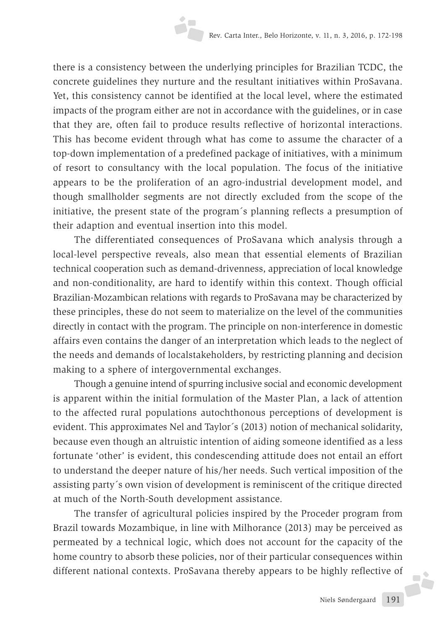there is a consistency between the underlying principles for Brazilian TCDC, the concrete guidelines they nurture and the resultant initiatives within ProSavana. Yet, this consistency cannot be identified at the local level, where the estimated impacts of the program either are not in accordance with the guidelines, or in case that they are, often fail to produce results reflective of horizontal interactions. This has become evident through what has come to assume the character of a top-down implementation of a predefined package of initiatives, with a minimum of resort to consultancy with the local population. The focus of the initiative appears to be the proliferation of an agro-industrial development model, and though smallholder segments are not directly excluded from the scope of the initiative, the present state of the program´s planning reflects a presumption of their adaption and eventual insertion into this model.

The differentiated consequences of ProSavana which analysis through a local-level perspective reveals, also mean that essential elements of Brazilian technical cooperation such as demand-drivenness, appreciation of local knowledge and non-conditionality, are hard to identify within this context. Though official Brazilian-Mozambican relations with regards to ProSavana may be characterized by these principles, these do not seem to materialize on the level of the communities directly in contact with the program. The principle on non-interference in domestic affairs even contains the danger of an interpretation which leads to the neglect of the needs and demands of localstakeholders, by restricting planning and decision making to a sphere of intergovernmental exchanges.

Though a genuine intend of spurring inclusive social and economic development is apparent within the initial formulation of the Master Plan, a lack of attention to the affected rural populations autochthonous perceptions of development is evident. This approximates Nel and Taylor´s (2013) notion of mechanical solidarity, because even though an altruistic intention of aiding someone identified as a less fortunate 'other' is evident, this condescending attitude does not entail an effort to understand the deeper nature of his/her needs. Such vertical imposition of the assisting party´s own vision of development is reminiscent of the critique directed at much of the North-South development assistance.

The transfer of agricultural policies inspired by the Proceder program from Brazil towards Mozambique, in line with Milhorance (2013) may be perceived as permeated by a technical logic, which does not account for the capacity of the home country to absorb these policies, nor of their particular consequences within different national contexts. ProSavana thereby appears to be highly reflective of

**F**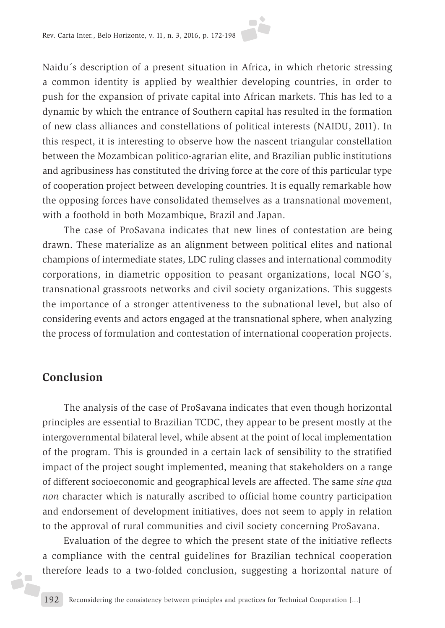

Naidu´s description of a present situation in Africa, in which rhetoric stressing a common identity is applied by wealthier developing countries, in order to push for the expansion of private capital into African markets. This has led to a dynamic by which the entrance of Southern capital has resulted in the formation of new class alliances and constellations of political interests (NAIDU, 2011). In this respect, it is interesting to observe how the nascent triangular constellation between the Mozambican politico-agrarian elite, and Brazilian public institutions and agribusiness has constituted the driving force at the core of this particular type of cooperation project between developing countries. It is equally remarkable how the opposing forces have consolidated themselves as a transnational movement, with a foothold in both Mozambique, Brazil and Japan.

The case of ProSavana indicates that new lines of contestation are being drawn. These materialize as an alignment between political elites and national champions of intermediate states, LDC ruling classes and international commodity corporations, in diametric opposition to peasant organizations, local NGO´s, transnational grassroots networks and civil society organizations. This suggests the importance of a stronger attentiveness to the subnational level, but also of considering events and actors engaged at the transnational sphere, when analyzing the process of formulation and contestation of international cooperation projects.

## **Conclusion**

á,

The analysis of the case of ProSavana indicates that even though horizontal principles are essential to Brazilian TCDC, they appear to be present mostly at the intergovernmental bilateral level, while absent at the point of local implementation of the program. This is grounded in a certain lack of sensibility to the stratified impact of the project sought implemented, meaning that stakeholders on a range of different socioeconomic and geographical levels are affected. The same *sine qua non* character which is naturally ascribed to official home country participation and endorsement of development initiatives, does not seem to apply in relation to the approval of rural communities and civil society concerning ProSavana.

Evaluation of the degree to which the present state of the initiative reflects a compliance with the central guidelines for Brazilian technical cooperation therefore leads to a two-folded conclusion, suggesting a horizontal nature of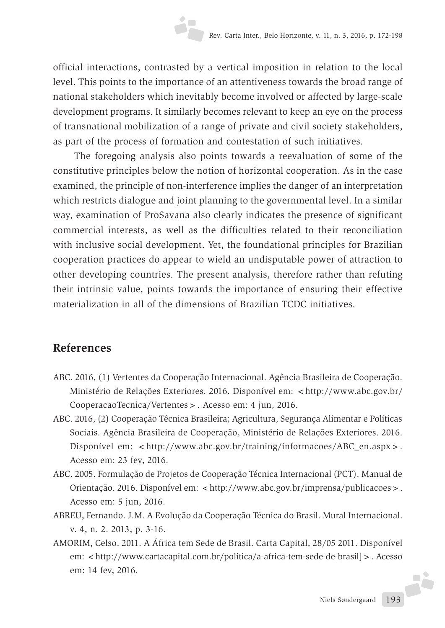official interactions, contrasted by a vertical imposition in relation to the local level. This points to the importance of an attentiveness towards the broad range of national stakeholders which inevitably become involved or affected by large-scale development programs. It similarly becomes relevant to keep an eye on the process of transnational mobilization of a range of private and civil society stakeholders, as part of the process of formation and contestation of such initiatives.

The foregoing analysis also points towards a reevaluation of some of the constitutive principles below the notion of horizontal cooperation. As in the case examined, the principle of non-interference implies the danger of an interpretation which restricts dialogue and joint planning to the governmental level. In a similar way, examination of ProSavana also clearly indicates the presence of significant commercial interests, as well as the difficulties related to their reconciliation with inclusive social development. Yet, the foundational principles for Brazilian cooperation practices do appear to wield an undisputable power of attraction to other developing countries. The present analysis, therefore rather than refuting their intrinsic value, points towards the importance of ensuring their effective materialization in all of the dimensions of Brazilian TCDC initiatives.

## **References**

- ABC. 2016, (1) Vertentes da Cooperação Internacional. Agência Brasileira de Cooperação. Ministério de Relações Exteriores. 2016. Disponível em: <http://www.abc.gov.br/ CooperacaoTecnica/Vertentes>. Acesso em: 4 jun, 2016.
- ABC. 2016, (2) Cooperação Têcnica Brasileira; Agricultura, Segurança Alimentar e Políticas Sociais. Agência Brasileira de Cooperação, Ministério de Relações Exteriores. 2016. Disponível em: <http://www.abc.gov.br/training/informacoes/ABC\_en.aspx>. Acesso em: 23 fev, 2016.
- ABC. 2005. Formulação de Projetos de Cooperação Técnica Internacional (PCT). Manual de Orientação. 2016. Disponível em: < http://www.abc.gov.br/imprensa/publicacoes > . Acesso em: 5 jun, 2016.
- ABREU, Fernando. J.M. A Evolução da Cooperação Técnica do Brasil. Mural Internacional. v. 4, n. 2. 2013, p. 3-16.
- AMORIM, Celso. 2011. A África tem Sede de Brasil. Carta Capital, 28/05 2011. Disponível em: <http://www.cartacapital.com.br/politica/a-africa-tem-sede-de-brasil] > . Acesso em: 14 fev, 2016.F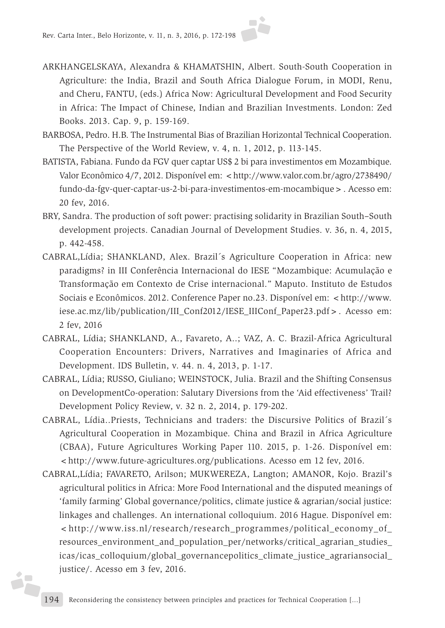

- ARKHANGELSKAYA, Alexandra & KHAMATSHIN, Albert. South-South Cooperation in Agriculture: the India, Brazil and South Africa Dialogue Forum, in MODI, Renu, and Cheru, FANTU, (eds.) Africa Now: Agricultural Development and Food Security in Africa: The Impact of Chinese, Indian and Brazilian Investments. London: Zed Books. 2013. Cap. 9, p. 159-169.
- BARBOSA, Pedro. H.B. The Instrumental Bias of Brazilian Horizontal Technical Cooperation. The Perspective of the World Review, v. 4, n. 1, 2012, p. 113-145.
- BATISTA, Fabiana. Fundo da FGV quer captar US\$ 2 bi para investimentos em Mozambique. Valor Econômico 4/7, 2012. Disponível em: < http://www.valor.com.br/agro/2738490/ fundo-da-fgv-quer-captar-us-2-bi-para-investimentos-em-mocambique>. Acesso em: 20 fev, 2016.
- BRY, Sandra. The production of soft power: practising solidarity in Brazilian South–South development projects. Canadian Journal of Development Studies. v. 36, n. 4, 2015, p. 442-458.
- CABRAL,Lídia; SHANKLAND, Alex. Brazil´s Agriculture Cooperation in Africa: new paradigms? in III Conferência Internacional do IESE "Mozambique: Acumulação e Transformação em Contexto de Crise internacional." Maputo. Instituto de Estudos Sociais e Econômicos. 2012. Conference Paper no.23. Disponível em: <http://www. iese.ac.mz/lib/publication/III\_Conf2012/IESE\_IIIConf\_Paper23.pdf>. Acesso em: 2 fev, 2016
- CABRAL, Lídia; SHANKLAND, A., Favareto, A..; VAZ, A. C. Brazil-Africa Agricultural Cooperation Encounters: Drivers, Narratives and Imaginaries of Africa and Development. IDS Bulletin, v. 44. n. 4, 2013, p. 1-17.
- CABRAL, Lídia; RUSSO, Giuliano; WEINSTOCK, Julia. Brazil and the Shifting Consensus on DevelopmentCo-operation: Salutary Diversions from the 'Aid effectiveness' Trail? Development Policy Review, v. 32 n. 2, 2014, p. 179-202.
- CABRAL, Lídia..Priests, Technicians and traders: the Discursive Politics of Brazil´s Agricultural Cooperation in Mozambique. China and Brazil in Africa Agriculture (CBAA), Future Agricultures Working Paper 110. 2015, p. 1-26. Disponível em: <http://www.future-agricultures.org/publications. Acesso em 12 fev, 2016.
- CABRAL,Lídia; FAVARETO, Arilson; MUKWEREZA, Langton; AMANOR, Kojo. Brazil's agricultural politics in Africa: More Food International and the disputed meanings of 'family farming' Global governance/politics, climate justice & agrarian/social justice: linkages and challenges. An international colloquium. 2016 Hague. Disponível em:  $\lt$ http://www.iss.nl/research/research\_programmes/political\_economy\_of resources\_environment\_and\_population\_per/networks/critical\_agrarian\_studies\_ icas/icas\_colloquium/global\_governancepolitics\_climate\_justice\_agrariansocial\_ justice/. Acesso em 3 fev, 2016.

**SF**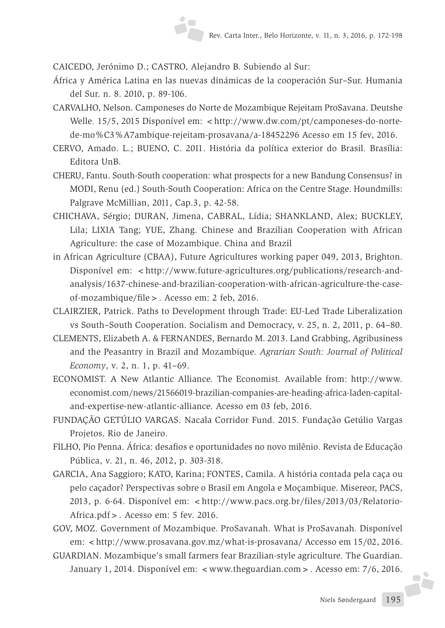CAICEDO, Jerónimo D.; CASTRO, Alejandro B. Subiendo al Sur:

- África y América Latina en las nuevas dinámicas de la cooperación Sur–Sur. Humania del Sur. n. 8. 2010, p. 89-106.
- CARVALHO, Nelson. Camponeses do Norte de Mozambique Rejeitam ProSavana. Deutshe Welle. 15/5, 2015 Disponível em: <http://www.dw.com/pt/camponeses-do-nortede-mo%C3%A7ambique-rejeitam-prosavana/a-18452296 Acesso em 15 fev, 2016.
- CERVO, Amado. L.; BUENO, C. 2011. História da política exterior do Brasil*.* Brasília: Editora UnB.
- CHERU, Fantu. South-South cooperation: what prospects for a new Bandung Consensus? in MODI, Renu (ed.) South-South Cooperation: Africa on the Centre Stage. Houndmills: Palgrave McMillian, 2011, Cap.3, p. 42-58.
- CHICHAVA, Sérgio; DURAN, Jimena, CABRAL, Lídia; SHANKLAND, Alex; BUCKLEY, Lila; LIXIA Tang; YUE, Zhang. Chinese and Brazilian Cooperation with African Agriculture: the case of Mozambique. China and Brazil
- in African Agriculture (CBAA), Future Agricultures working paper 049, 2013, Brighton. Disponível em: <http://www.future-agricultures.org/publications/research-andanalysis/1637-chinese-and-brazilian-cooperation-with-african-agriculture-the-caseof-mozambique/file>. Acesso em: 2 feb, 2016.
- CLAIRZIER, Patrick. Paths to Development through Trade: EU-Led Trade Liberalization vs South–South Cooperation. Socialism and Democracy, v. 25, n. 2, 2011, p. 64–80.
- CLEMENTS, Elizabeth A. & FERNANDES, Bernardo M. 2013. Land Grabbing, Agribusiness and the Peasantry in Brazil and Mozambique. *Agrarian South: Journal of Political Economy*, v. 2, n. 1, p. 41–69.
- ECONOMIST. A New Atlantic Alliance. The Economist*.* Available from: http://www. economist.com/news/21566019-brazilian-companies-are-heading-africa-laden-capitaland-expertise-new-atlantic-alliance. Acesso em 03 feb, 2016.
- FUNDAÇÃO GETÚLIO VARGAS. Nacala Corridor Fund. 2015. Fundação Getúlio Vargas Projetos. Rio de Janeiro.
- FILHO, Pio Penna. África: desafios e oportunidades no novo milênio. Revista de Educação Pública, v. 21, n. 46, 2012, p. 303-318.
- GARCIA, Ana Saggioro; KATO, Karina; FONTES, Camila. A história contada pela caça ou pelo caçador? Perspectivas sobre o Brasil em Angola e Moçambique. Misereor, PACS, 2013, p. 6-64. Disponível em: <http://www.pacs.org.br/files/2013/03/Relatorio-Africa.pdf>. Acesso em: 5 fev. 2016.
- GOV, MOZ. Government of Mozambique. ProSavanah. What is ProSavanah*.* Disponível em: <http://www.prosavana.gov.mz/what-is-prosavana/ Accesso em 15/02, 2016.
- GUARDIAN. Mozambique's small farmers fear Brazilian-style agriculture*.* The Guardian. January 1, 2014. Disponível em: < www.theguardian.com > . Acesso em: 7/6, 2016.

**A**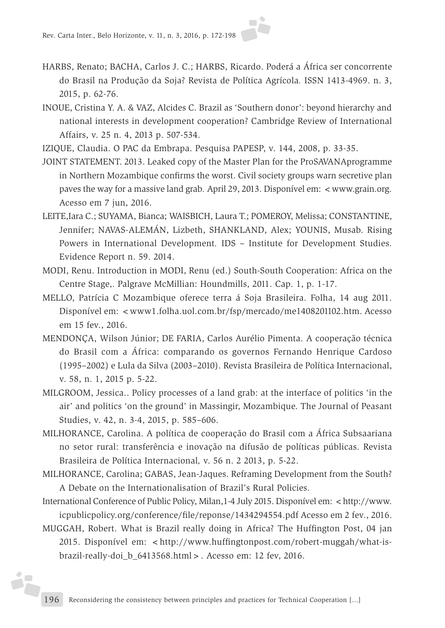- HARBS, Renato; BACHA, Carlos J. C.; HARBS, Ricardo. Poderá a África ser concorrente do Brasil na Produção da Soja? Revista de Política Agrícola*.* ISSN 1413-4969. n. 3, 2015, p. 62-76.
- INOUE, Cristina Y. A. & VAZ, Alcides C. Brazil as 'Southern donor': beyond hierarchy and national interests in development cooperation? Cambridge Review of International Affairs, v. 25 n. 4, 2013 p. 507-534.

IZIQUE, Claudia. O PAC da Embrapa. Pesquisa PAPESP, v. 144, 2008, p. 33-35.

- JOINT STATEMENT. 2013. Leaked copy of the Master Plan for the ProSAVANAprogramme in Northern Mozambique confirms the worst. Civil society groups warn secretive plan paves the way for a massive land grab*.* April 29, 2013. Disponível em: <www.grain.org. Acesso em 7 jun, 2016.
- LEITE,Iara C.; SUYAMA, Bianca; WAISBICH, Laura T.; POMEROY, Melissa; CONSTANTINE, Jennifer; NAVAS-ALEMÁN, Lizbeth, SHANKLAND, Alex; YOUNIS, Musab. Rising Powers in International Development*.* IDS – Institute for Development Studies. Evidence Report n. 59. 2014.
- MODI, Renu. Introduction in MODI, Renu (ed.) South-South Cooperation: Africa on the Centre Stage,. Palgrave McMillian: Houndmills, 2011. Cap. 1, p. 1-17.
- MELLO, Patrícia C Mozambique oferece terra á Soja Brasileira. Folha, 14 aug 2011. Disponível em: <www1.folha.uol.com.br/fsp/mercado/me1408201102.htm. Acesso em 15 fev., 2016.
- MENDONÇA, Wilson Júnior; DE FARIA, Carlos Aurélio Pimenta. A cooperação técnica do Brasil com a África: comparando os governos Fernando Henrique Cardoso (1995–2002) e Lula da Silva (2003–2010). Revista Brasileira de Política Internacional, v. 58, n. 1, 2015 p. 5-22.
- MILGROOM, Jessica.. Policy processes of a land grab: at the interface of politics 'in the air' and politics 'on the ground' in Massingir, Mozambique. The Journal of Peasant Studies, v. 42, n. 3-4, 2015, p. 585–606.
- MILHORANCE, Carolina. A política de cooperação do Brasil com a África Subsaariana no setor rural: transferência e inovação na difusão de políticas públicas. Revista Brasileira de Política Internacional*,* v. 56 n. 2 2013, p. 5-22.
- MILHORANCE, Carolina; GABAS, Jean-Jaques. Reframing Development from the South? A Debate on the Internationalisation of Brazil's Rural Policies.

International Conference of Public Policy, Milan, 1-4 July 2015. Disponível em: <http://www. icpublicpolicy.org/conference/file/reponse/1434294554.pdf Acesso em 2 fev., 2016.

MUGGAH, Robert. What is Brazil really doing in Africa? The Huffington Post, 04 jan 2015. Disponível em: <http://www.huffingtonpost.com/robert-muggah/what-isbrazil-really-doi\_b\_6413568.html>. Acesso em: 12 fev, 2016.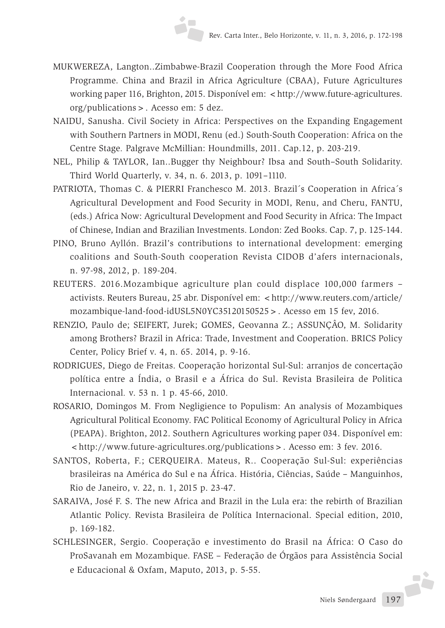- MUKWEREZA, Langton..Zimbabwe-Brazil Cooperation through the More Food Africa Programme. China and Brazil in Africa Agriculture (CBAA), Future Agricultures working paper 116, Brighton, 2015. Disponível em: <http://www.future-agricultures. org/publications>. Acesso em: 5 dez.
- NAIDU, Sanusha. Civil Society in Africa: Perspectives on the Expanding Engagement with Southern Partners in MODI, Renu (ed.) South-South Cooperation: Africa on the Centre Stage*.* Palgrave McMillian: Houndmills, 2011. Cap.12, p. 203-219.
- NEL, Philip & TAYLOR, Ian..Bugger thy Neighbour? Ibsa and South–South Solidarity. Third World Quarterly, v. 34, n. 6. 2013, p. 1091–1110.
- PATRIOTA, Thomas C. & PIERRI Franchesco M. 2013. Brazil´s Cooperation in Africa´s Agricultural Development and Food Security in MODI, Renu, and Cheru, FANTU, (eds.) Africa Now: Agricultural Development and Food Security in Africa: The Impact of Chinese, Indian and Brazilian Investments. London: Zed Books. Cap. 7, p. 125-144.
- PINO, Bruno Ayllón. Brazil's contributions to international development: emerging coalitions and South-South cooperation Revista CIDOB d'afers internacionals, n. 97-98, 2012, p. 189-204.
- REUTERS. 2016.Mozambique agriculture plan could displace 100,000 farmers activists. Reuters Bureau, 25 abr. Disponível em: <http://www.reuters.com/article/ mozambique-land-food-idUSL5N0YC35120150525>. Acesso em 15 fev, 2016.
- RENZIO, Paulo de; SEIFERT, Jurek; GOMES, Geovanna Z.; ASSUNÇÂO, M. Solidarity among Brothers? Brazil in Africa: Trade, Investment and Cooperation. BRICS Policy Center, Policy Brief v. 4, n. 65. 2014, p. 9-16.
- RODRIGUES, Diego de Freitas. Cooperação horizontal Sul-Sul: arranjos de concertação política entre a Índia, o Brasil e a África do Sul. Revista Brasileira de Politica Internacional*.* v. 53 n. 1 p. 45-66, 2010.
- ROSARIO, Domingos M. From Negligience to Populism: An analysis of Mozambiques Agricultural Political Economy. FAC Political Economy of Agricultural Policy in Africa (PEAPA). Brighton, 2012. Southern Agricultures working paper 034. Disponível em: <http://www.future-agricultures.org/publications>. Acesso em: 3 fev. 2016.
- SANTOS, Roberta, F.; CERQUEIRA. Mateus, R.. Cooperação Sul-Sul: experiências brasileiras na América do Sul e na África. História, Ciências, Saúde – Manguinhos, Rio de Janeiro, v. 22, n. 1, 2015 p. 23-47.
- SARAIVA, José F. S. The new Africa and Brazil in the Lula era: the rebirth of Brazilian Atlantic Policy. Revista Brasileira de Política Internacional. Special edition, 2010, p. 169-182.
- Niels Søndergaard 197 SCHLESINGER, Sergio. Cooperação e investimento do Brasil na África: O Caso do ProSavanah em Mozambique. FASE – Federação de Órgãos para Assistência Social e Educacional & Oxfam, Maputo, 2013, p. 5-55.